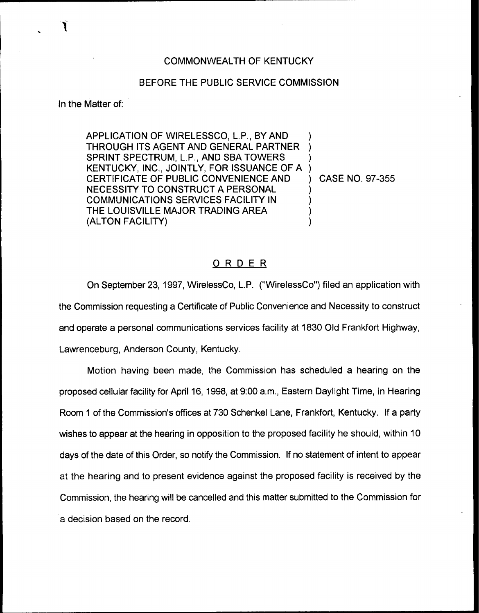## COMMONWEALTH OF KENTUCKY

## BEFORE THE PUBLIC SERVICE COMMISSION

In the Matter of:

APPLICATION OF WIRELESSCO, L.P., BY AND THROUGH ITS AGENT AND GENERAL PARTNER SPRINT SPECTRUM, L.P., AND SBA TOWERS KENTUCKY, INC., JOINTLY, FOR ISSUANCE OF A CERTIFICATE OF PUBLIC CONVENIENCE AND NECESSITY TO CONSTRUCT A PERSONAL COMMUNICATIONS SERVICES FACILITY IN THE LOUISVILLE MAJOR TRADING AREA (ALTON FACILITY) ) ) ) ) ) ) ) )

) CASE NO. 97-355

## ORDER

On September 23, 1997, WirelessCo, L.P. ("WirelessCo") filed an application with the Commission requesting a Certificate of Public Convenience and Necessity to construct and operate a personal communications services facility at 1830 Old Frankfort Highway, Lawrenceburg, Anderson County, Kentucky.

Motion having been made, the Commission has scheduled a hearing on the proposed cellular facility for April 16, 1998, at 9:00 a.m., Eastern Daylight Time, in Hearing Room 1 of the Commission's offices at 730 Schenkel Lane, Frankfort, Kentucky. If a party wishes to appear at the hearing in opposition to the proposed facility he should, within 10 days of the date of this Order, so notify the Commission. If no statement of intent to appear at the hearing and to present evidence against the proposed facility is received by the Commission, the hearing will be cancelled and this matter submitted to the Commission for a decision based on the record.